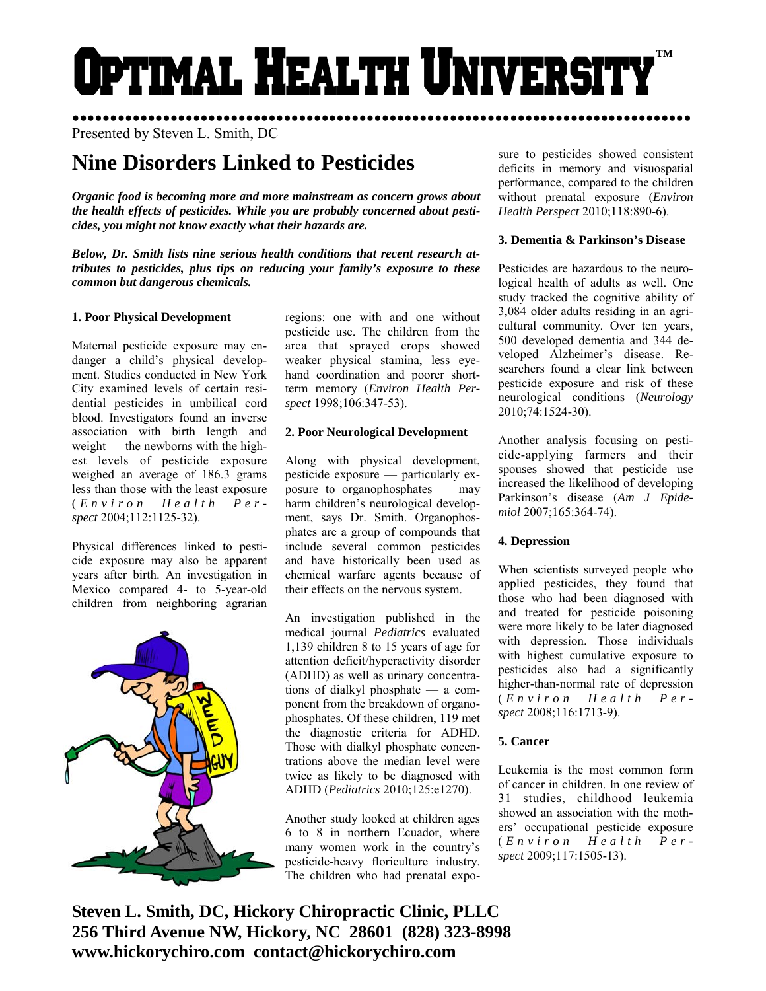# Optimal Health Universit **™**

●●●●●●●●●●●●●●●●●●●●●●●●●●●●●●●●●●●●●●●●●●●●●●●●●●●●●●●●●●●●●●●●●●●●●●●●●●●●●●●●●● Presented by Steven L. Smith, DC

# **Nine Disorders Linked to Pesticides**

*Organic food is becoming more and more mainstream as concern grows about the health effects of pesticides. While you are probably concerned about pesticides, you might not know exactly what their hazards are.* 

*Below, Dr. Smith lists nine serious health conditions that recent research attributes to pesticides, plus tips on reducing your family's exposure to these common but dangerous chemicals.* 

# **1. Poor Physical Development**

Maternal pesticide exposure may endanger a child's physical development. Studies conducted in New York City examined levels of certain residential pesticides in umbilical cord blood. Investigators found an inverse association with birth length and weight — the newborns with the highest levels of pesticide exposure weighed an average of 186.3 grams less than those with the least exposure ( *Environ Health Perspect* 2004;112:1125-32).

Physical differences linked to pesticide exposure may also be apparent years after birth. An investigation in Mexico compared 4- to 5-year-old children from neighboring agrarian



regions: one with and one without pesticide use. The children from the area that sprayed crops showed weaker physical stamina, less eyehand coordination and poorer shortterm memory (*Environ Health Perspect* 1998;106:347-53).

# **2. Poor Neurological Development**

Along with physical development, pesticide exposure — particularly exposure to organophosphates — may harm children's neurological development, says Dr. Smith. Organophosphates are a group of compounds that include several common pesticides and have historically been used as chemical warfare agents because of their effects on the nervous system.

An investigation published in the medical journal *Pediatrics* evaluated 1,139 children 8 to 15 years of age for attention deficit/hyperactivity disorder (ADHD) as well as urinary concentrations of dialkyl phosphate — a component from the breakdown of organophosphates. Of these children, 119 met the diagnostic criteria for ADHD. Those with dialkyl phosphate concentrations above the median level were twice as likely to be diagnosed with ADHD (*Pediatrics* 2010;125:e1270).

Another study looked at children ages 6 to 8 in northern Ecuador, where many women work in the country's pesticide-heavy floriculture industry. The children who had prenatal exposure to pesticides showed consistent deficits in memory and visuospatial performance, compared to the children without prenatal exposure (*Environ Health Perspect* 2010;118:890-6).

# **3. Dementia & Parkinson's Disease**

Pesticides are hazardous to the neurological health of adults as well. One study tracked the cognitive ability of 3,084 older adults residing in an agricultural community. Over ten years, 500 developed dementia and 344 developed Alzheimer's disease. Researchers found a clear link between pesticide exposure and risk of these neurological conditions (*Neurology* 2010;74:1524-30).

Another analysis focusing on pesticide-applying farmers and their spouses showed that pesticide use increased the likelihood of developing Parkinson's disease (*Am J Epidemiol* 2007;165:364-74).

# **4. Depression**

When scientists surveyed people who applied pesticides, they found that those who had been diagnosed with and treated for pesticide poisoning were more likely to be later diagnosed with depression. Those individuals with highest cumulative exposure to pesticides also had a significantly higher-than-normal rate of depression ( *Environ Health Perspect* 2008;116:1713-9).

# **5. Cancer**

Leukemia is the most common form of cancer in children. In one review of 31 studies, childhood leukemia showed an association with the mothers' occupational pesticide exposure ( *Environ Health Perspect* 2009;117:1505-13).

**Steven L. Smith, DC, Hickory Chiropractic Clinic, PLLC 256 Third Avenue NW, Hickory, NC 28601 (828) 323-8998 www.hickorychiro.com contact@hickorychiro.com**